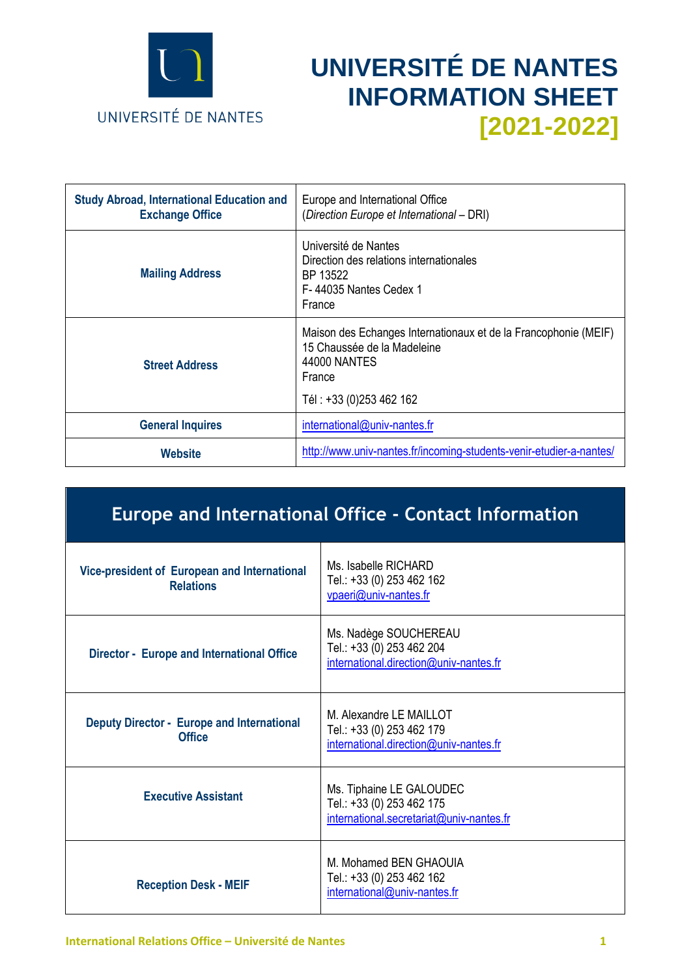

# **UNIVERSITÉ DE NANTES INFORMATION SHEET [2021-2022]**

| <b>Study Abroad, International Education and</b><br><b>Exchange Office</b> | Europe and International Office<br>(Direction Europe et International - DRI)                                                                        |
|----------------------------------------------------------------------------|-----------------------------------------------------------------------------------------------------------------------------------------------------|
| <b>Mailing Address</b>                                                     | Université de Nantes<br>Direction des relations internationales<br>BP 13522<br>F-44035 Nantes Cedex 1<br>France                                     |
| <b>Street Address</b>                                                      | Maison des Echanges Internationaux et de la Francophonie (MEIF)<br>15 Chaussée de la Madeleine<br>44000 NANTES<br>France<br>Tél: +33 (0)253 462 162 |
| <b>General Inquires</b>                                                    | international@univ-nantes.fr                                                                                                                        |
| Website                                                                    | http://www.univ-nantes.fr/incoming-students-venir-etudier-a-nantes/                                                                                 |

## **Europe and International Office - Contact Information**

| Vice-president of European and International<br><b>Relations</b>   | Ms. Isabelle RICHARD<br>Tel.: +33 (0) 253 462 162<br>vpaeri@univ-nantes.fr                        |
|--------------------------------------------------------------------|---------------------------------------------------------------------------------------------------|
| Director - Europe and International Office                         | Ms. Nadège SOUCHEREAU<br>Tel.: +33 (0) 253 462 204<br>international.direction@univ-nantes.fr      |
| <b>Deputy Director - Europe and International</b><br><b>Office</b> | M. Alexandre LE MAILLOT<br>Tel.: +33 (0) 253 462 179<br>international.direction@univ-nantes.fr    |
| <b>Executive Assistant</b>                                         | Ms. Tiphaine LE GALOUDEC<br>Tel.: +33 (0) 253 462 175<br>international.secretariat@univ-nantes.fr |
| <b>Reception Desk - MEIF</b>                                       | M. Mohamed BEN GHAOUIA<br>Tel.: +33 (0) 253 462 162<br>international@univ-nantes.fr               |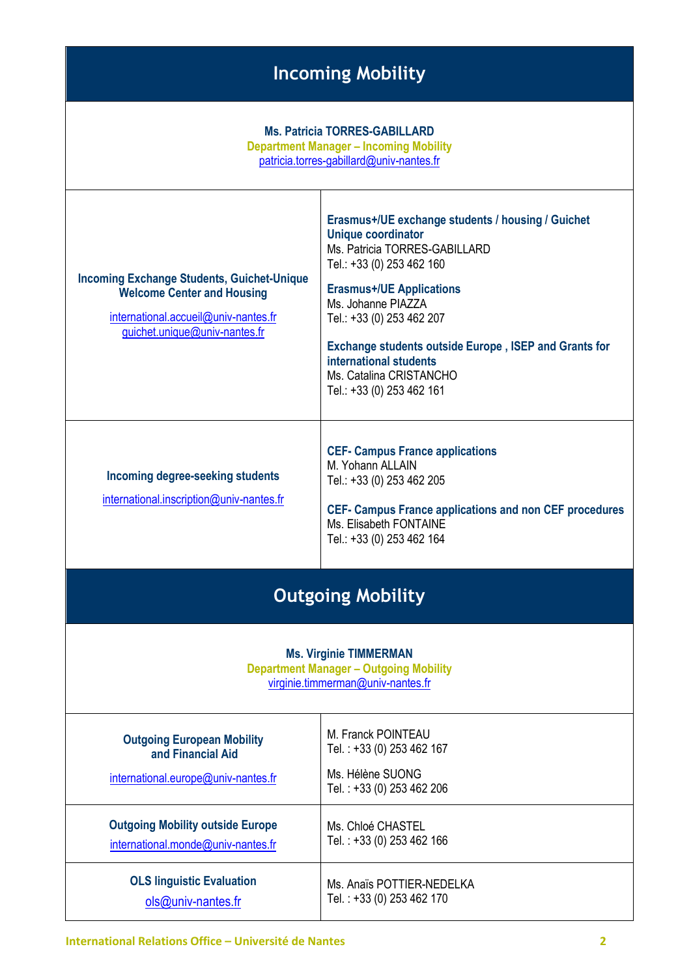## **Incoming Mobility**

#### **Ms. Patricia TORRES-GABILLARD**

**Department Manager – Incoming Mobility** [patricia.torres-gabillard@univ-nantes.fr](mailto:patricia.torres-gabillard@univ-nantes.fr) **Incoming Exchange Students, Guichet-Unique Welcome Center and Housing** [international.accueil@univ-nantes.fr](mailto:international.accueil@univ-nantes.fr) [guichet.unique@univ-nantes.fr](mailto:guichet.unique@univ-nantes.fr) **Erasmus+/UE exchange students / housing / Guichet Unique coordinator**  Ms. Patricia TORRES-GABILLARD Tel.: +33 (0) 253 462 160 **Erasmus+/UE Applications** Ms. Johanne PIAZZA Tel.: +33 (0) 253 462 207 **Exchange students outside Europe , ISEP and Grants for international students**  Ms. Catalina CRISTANCHO Tel.: +33 (0) 253 462 161 **Incoming degree-seeking students** [international.inscription@univ-nantes.fr](mailto:international.inscription@univ-nantes.fr) **CEF- Campus France applications** M. Yohann ALLAIN Tel.: +33 (0) 253 462 205 **CEF- Campus France applications and non CEF procedures** Ms. Elisabeth FONTAINE Tel.: +33 (0) 253 462 164

## **Outgoing Mobility**

#### **Ms. Virginie TIMMERMAN**

**Department Manager – Outgoing Mobility** [virginie.timmerman@univ-nantes.fr](mailto:virginie.timmerman@univ-nantes.fr)

| <b>Outgoing European Mobility</b><br>and Financial Aid<br>international.europe@univ-nantes.fr | M. Franck POINTEAU<br>Tel.: +33 (0) 253 462 167<br>Ms. Hélène SUONG<br>Tel.: +33 (0) 253 462 206 |
|-----------------------------------------------------------------------------------------------|--------------------------------------------------------------------------------------------------|
| <b>Outgoing Mobility outside Europe</b>                                                       | Ms. Chloé CHASTEL                                                                                |
| international.monde@univ-nantes.fr                                                            | Tel.: +33 (0) 253 462 166                                                                        |
| <b>OLS linguistic Evaluation</b>                                                              | Ms. Anaïs POTTIER-NEDELKA                                                                        |
| $ols@univ-nantes.fr$                                                                          | Tel.: +33 (0) 253 462 170                                                                        |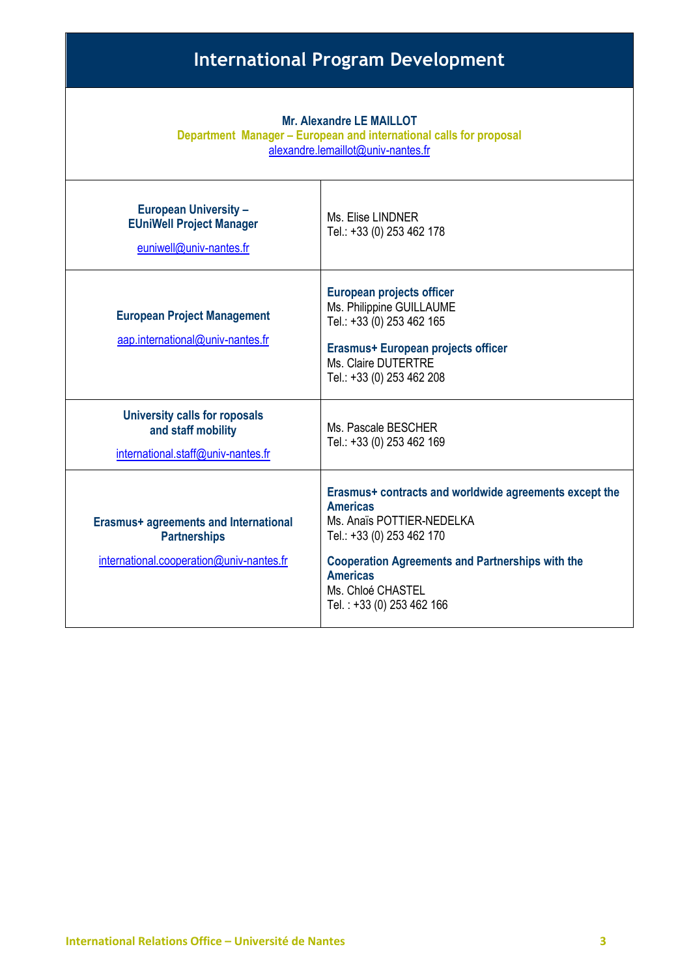## **International Program Development**

| <b>Mr. Alexandre LE MAILLOT</b><br>Department Manager - European and international calls for proposal<br>alexandre.lemaillot@univ-nantes.fr |                                                                                                                                                                                                                                                                     |
|---------------------------------------------------------------------------------------------------------------------------------------------|---------------------------------------------------------------------------------------------------------------------------------------------------------------------------------------------------------------------------------------------------------------------|
| <b>European University -</b><br><b>EUniWell Project Manager</b><br>euniwell@univ-nantes.fr                                                  | Ms. Elise LINDNER<br>Tel.: +33 (0) 253 462 178                                                                                                                                                                                                                      |
| <b>European Project Management</b><br>aap.international@univ-nantes.fr                                                                      | <b>European projects officer</b><br>Ms. Philippine GUILLAUME<br>Tel.: +33 (0) 253 462 165<br>Erasmus+ European projects officer<br>Ms. Claire DUTERTRE<br>Tel.: +33 (0) 253 462 208                                                                                 |
| <b>University calls for roposals</b><br>and staff mobility<br>international.staff@univ-nantes.fr                                            | Ms. Pascale BESCHER<br>Tel.: +33 (0) 253 462 169                                                                                                                                                                                                                    |
| <b>Erasmus+ agreements and International</b><br><b>Partnerships</b><br>international.cooperation@univ-nantes.fr                             | Erasmus+ contracts and worldwide agreements except the<br><b>Americas</b><br>Ms. Anaïs POTTIER-NEDELKA<br>Tel.: +33 (0) 253 462 170<br><b>Cooperation Agreements and Partnerships with the</b><br><b>Americas</b><br>Ms. Chloé CHASTEL<br>Tel.: +33 (0) 253 462 166 |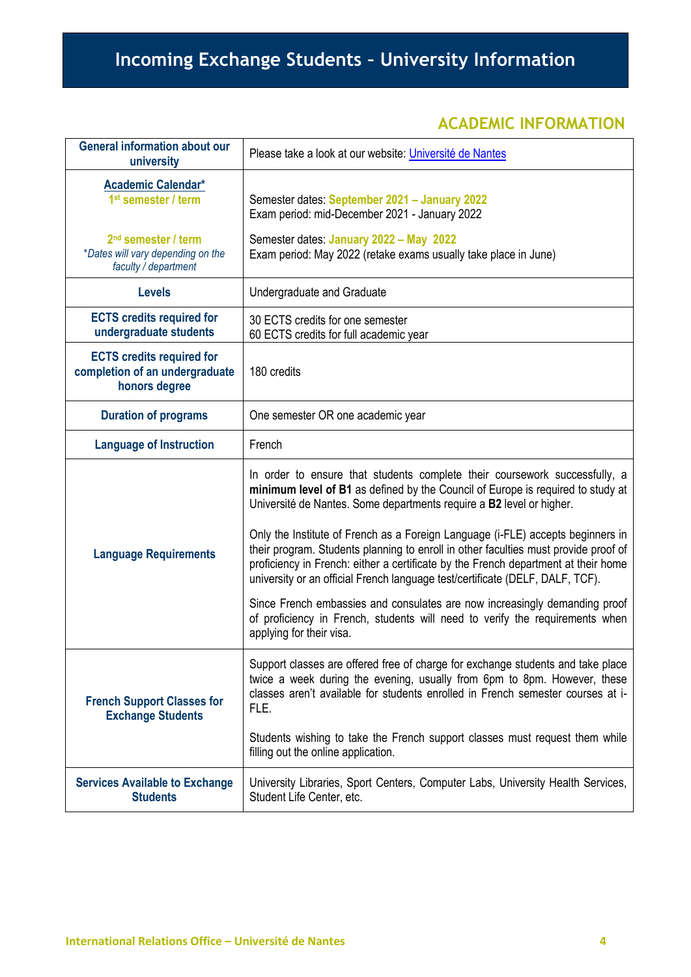## **Incoming Exchange Students – University Information**

#### **ACADEMIC INFORMATION**

| <b>General information about our</b><br>university                                                                                                           | Please take a look at our website: <i>Université de Nantes</i>                                                                                                                                                                                                                                                                                |
|--------------------------------------------------------------------------------------------------------------------------------------------------------------|-----------------------------------------------------------------------------------------------------------------------------------------------------------------------------------------------------------------------------------------------------------------------------------------------------------------------------------------------|
| <b>Academic Calendar*</b><br>1 <sup>st</sup> semester / term<br>2 <sup>nd</sup> semester / term<br>*Dates will vary depending on the<br>faculty / department | Semester dates: September 2021 - January 2022<br>Exam period: mid-December 2021 - January 2022<br>Semester dates: January 2022 - May 2022<br>Exam period: May 2022 (retake exams usually take place in June)                                                                                                                                  |
| <b>Levels</b>                                                                                                                                                | Undergraduate and Graduate                                                                                                                                                                                                                                                                                                                    |
| <b>ECTS credits required for</b><br>undergraduate students                                                                                                   | 30 ECTS credits for one semester<br>60 ECTS credits for full academic year                                                                                                                                                                                                                                                                    |
| <b>ECTS credits required for</b><br>completion of an undergraduate<br>honors degree                                                                          | 180 credits                                                                                                                                                                                                                                                                                                                                   |
| <b>Duration of programs</b>                                                                                                                                  | One semester OR one academic year                                                                                                                                                                                                                                                                                                             |
| <b>Language of Instruction</b>                                                                                                                               | French                                                                                                                                                                                                                                                                                                                                        |
|                                                                                                                                                              | In order to ensure that students complete their coursework successfully, a<br>minimum level of B1 as defined by the Council of Europe is required to study at<br>Université de Nantes. Some departments require a B2 level or higher.                                                                                                         |
| <b>Language Requirements</b>                                                                                                                                 | Only the Institute of French as a Foreign Language (i-FLE) accepts beginners in<br>their program. Students planning to enroll in other faculties must provide proof of<br>proficiency in French: either a certificate by the French department at their home<br>university or an official French language test/certificate (DELF, DALF, TCF). |
|                                                                                                                                                              | Since French embassies and consulates are now increasingly demanding proof<br>of proficiency in French, students will need to verify the requirements when<br>applying for their visa.                                                                                                                                                        |
| <b>French Support Classes for</b><br><b>Exchange Students</b>                                                                                                | Support classes are offered free of charge for exchange students and take place<br>twice a week during the evening, usually from 6pm to 8pm. However, these<br>classes aren't available for students enrolled in French semester courses at i-<br>FLE.                                                                                        |
|                                                                                                                                                              | Students wishing to take the French support classes must request them while<br>filling out the online application.                                                                                                                                                                                                                            |
| <b>Services Available to Exchange</b><br><b>Students</b>                                                                                                     | University Libraries, Sport Centers, Computer Labs, University Health Services,<br>Student Life Center, etc.                                                                                                                                                                                                                                  |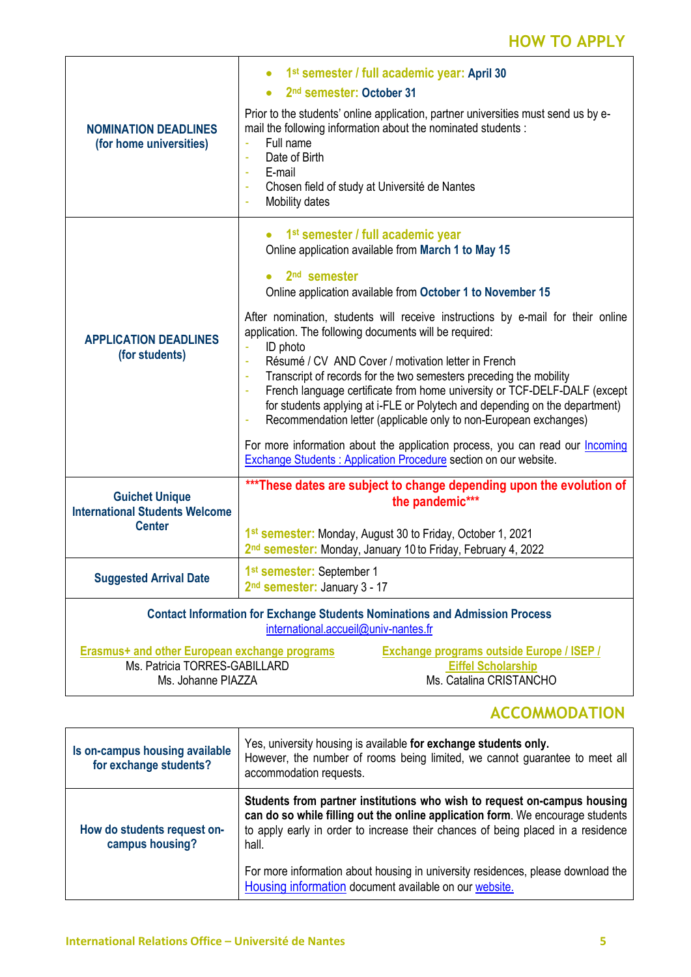### **HOW TO APPLY**

| <b>NOMINATION DEADLINES</b><br>(for home universities)                                                                     | 1 <sup>st</sup> semester / full academic year: April 30<br>2 <sup>nd</sup> semester: October 31<br>Prior to the students' online application, partner universities must send us by e-<br>mail the following information about the nominated students :<br>Full name<br>Date of Birth<br>÷,<br>E-mail<br>$\bar{a}$<br>Chosen field of study at Université de Nantes<br>٠<br>Mobility dates                                                                                                                                                                                                                                                                                                                                                                                                                                                                                                               |
|----------------------------------------------------------------------------------------------------------------------------|---------------------------------------------------------------------------------------------------------------------------------------------------------------------------------------------------------------------------------------------------------------------------------------------------------------------------------------------------------------------------------------------------------------------------------------------------------------------------------------------------------------------------------------------------------------------------------------------------------------------------------------------------------------------------------------------------------------------------------------------------------------------------------------------------------------------------------------------------------------------------------------------------------|
| <b>APPLICATION DEADLINES</b><br>(for students)                                                                             | 1 <sup>st</sup> semester / full academic year<br>Online application available from March 1 to May 15<br>2 <sup>nd</sup> semester<br>Online application available from October 1 to November 15<br>After nomination, students will receive instructions by e-mail for their online<br>application. The following documents will be required:<br>ID photo<br>Résumé / CV AND Cover / motivation letter in French<br>÷<br>Transcript of records for the two semesters preceding the mobility<br>÷<br>French language certificate from home university or TCF-DELF-DALF (except<br>÷<br>for students applying at i-FLE or Polytech and depending on the department)<br>Recommendation letter (applicable only to non-European exchanges)<br>For more information about the application process, you can read our <b>Incoming</b><br><b>Exchange Students: Application Procedure section on our website.</b> |
| <b>Guichet Unique</b><br><b>International Students Welcome</b><br><b>Center</b>                                            | *** These dates are subject to change depending upon the evolution of<br>the pandemic***<br>1st semester: Monday, August 30 to Friday, October 1, 2021<br>2 <sup>nd</sup> semester: Monday, January 10 to Friday, February 4, 2022                                                                                                                                                                                                                                                                                                                                                                                                                                                                                                                                                                                                                                                                      |
| <b>Suggested Arrival Date</b>                                                                                              | 1 <sup>st</sup> semester: September 1<br>2 <sup>nd</sup> semester: January 3 - 17                                                                                                                                                                                                                                                                                                                                                                                                                                                                                                                                                                                                                                                                                                                                                                                                                       |
| <b>Contact Information for Exchange Students Nominations and Admission Process</b><br>international.accueil@univ-nantes.fr |                                                                                                                                                                                                                                                                                                                                                                                                                                                                                                                                                                                                                                                                                                                                                                                                                                                                                                         |
| Erasmus+ and other European exchange programs<br>Ms. Patricia TORRES-GABILLARD<br>Ms. Johanne PIAZZA                       | <b>Exchange programs outside Europe / ISEP /</b><br><b>Eiffel Scholarship</b><br>Ms. Catalina CRISTANCHO                                                                                                                                                                                                                                                                                                                                                                                                                                                                                                                                                                                                                                                                                                                                                                                                |

## **ACCOMMODATION**

| Is on-campus housing available<br>for exchange students? | Yes, university housing is available for exchange students only.<br>However, the number of rooms being limited, we cannot guarantee to meet all<br>accommodation requests.                                                                              |
|----------------------------------------------------------|---------------------------------------------------------------------------------------------------------------------------------------------------------------------------------------------------------------------------------------------------------|
| How do students request on-<br>campus housing?           | Students from partner institutions who wish to request on-campus housing<br>can do so while filling out the online application form. We encourage students<br>to apply early in order to increase their chances of being placed in a residence<br>hall. |
|                                                          | For more information about housing in university residences, please download the<br>Housing information document available on our website.                                                                                                              |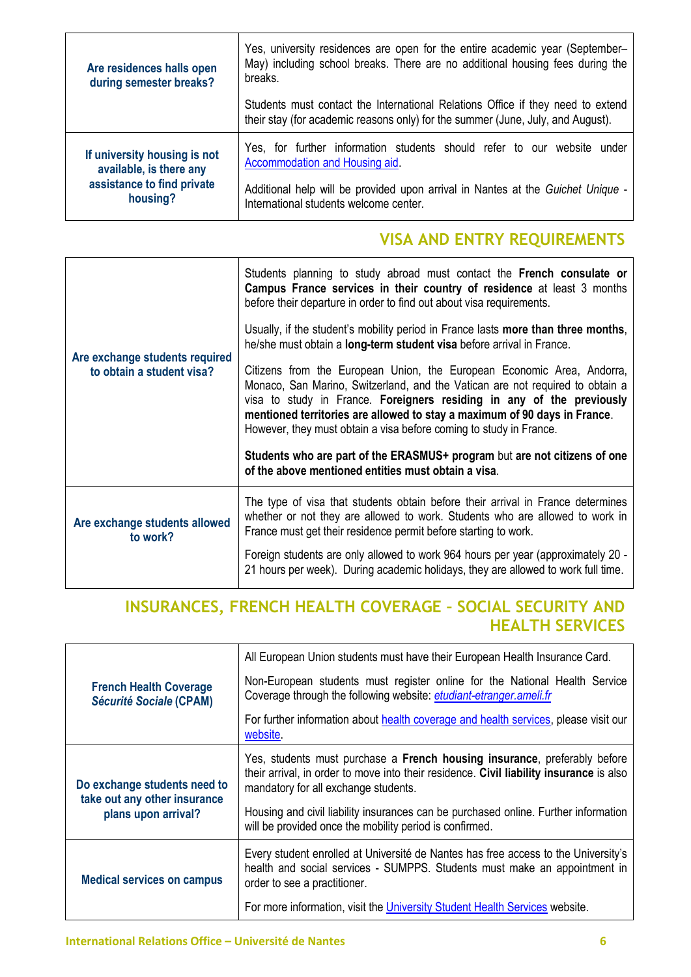| Are residences halls open<br>during semester breaks? | Yes, university residences are open for the entire academic year (September-<br>May) including school breaks. There are no additional housing fees during the<br>breaks. |
|------------------------------------------------------|--------------------------------------------------------------------------------------------------------------------------------------------------------------------------|
|                                                      | Students must contact the International Relations Office if they need to extend<br>their stay (for academic reasons only) for the summer (June, July, and August).       |
| If university housing is not                         | Yes, for further information students should refer to our website under                                                                                                  |
| available, is there any                              | Accommodation and Housing aid.                                                                                                                                           |
| assistance to find private                           | Additional help will be provided upon arrival in Nantes at the Guichet Unique -                                                                                          |
| housing?                                             | International students welcome center.                                                                                                                                   |

#### **VISA AND ENTRY REQUIREMENTS**

| Are exchange students required<br>to obtain a student visa? | Students planning to study abroad must contact the French consulate or<br>Campus France services in their country of residence at least 3 months<br>before their departure in order to find out about visa requirements.                                                                                                                                                            |
|-------------------------------------------------------------|-------------------------------------------------------------------------------------------------------------------------------------------------------------------------------------------------------------------------------------------------------------------------------------------------------------------------------------------------------------------------------------|
|                                                             | Usually, if the student's mobility period in France lasts more than three months,<br>he/she must obtain a long-term student visa before arrival in France.                                                                                                                                                                                                                          |
|                                                             | Citizens from the European Union, the European Economic Area, Andorra,<br>Monaco, San Marino, Switzerland, and the Vatican are not required to obtain a<br>visa to study in France. Foreigners residing in any of the previously<br>mentioned territories are allowed to stay a maximum of 90 days in France.<br>However, they must obtain a visa before coming to study in France. |
|                                                             | Students who are part of the ERASMUS+ program but are not citizens of one<br>of the above mentioned entities must obtain a visa.                                                                                                                                                                                                                                                    |
| Are exchange students allowed<br>to work?                   | The type of visa that students obtain before their arrival in France determines<br>whether or not they are allowed to work. Students who are allowed to work in<br>France must get their residence permit before starting to work.                                                                                                                                                  |
|                                                             | Foreign students are only allowed to work 964 hours per year (approximately 20 -<br>21 hours per week). During academic holidays, they are allowed to work full time.                                                                                                                                                                                                               |

#### **INSURANCES, FRENCH HEALTH COVERAGE – SOCIAL SECURITY AND HEALTH SERVICES**

| <b>French Health Coverage</b><br><b>Sécurité Sociale (CPAM)</b>                     | All European Union students must have their European Health Insurance Card.                                                                                                                                                                                                                         |
|-------------------------------------------------------------------------------------|-----------------------------------------------------------------------------------------------------------------------------------------------------------------------------------------------------------------------------------------------------------------------------------------------------|
|                                                                                     | Non-European students must register online for the National Health Service<br>Coverage through the following website: etudiant-etranger.ameli.fr                                                                                                                                                    |
|                                                                                     | For further information about health coverage and health services, please visit our<br>website.                                                                                                                                                                                                     |
| Do exchange students need to<br>take out any other insurance<br>plans upon arrival? | Yes, students must purchase a French housing insurance, preferably before<br>their arrival, in order to move into their residence. Civil liability insurance is also<br>mandatory for all exchange students.<br>Housing and civil liability insurances can be purchased online. Further information |
|                                                                                     | will be provided once the mobility period is confirmed.                                                                                                                                                                                                                                             |
| <b>Medical services on campus</b>                                                   | Every student enrolled at Université de Nantes has free access to the University's<br>health and social services - SUMPPS. Students must make an appointment in<br>order to see a practitioner.                                                                                                     |
|                                                                                     | For more information, visit the University Student Health Services website.                                                                                                                                                                                                                         |